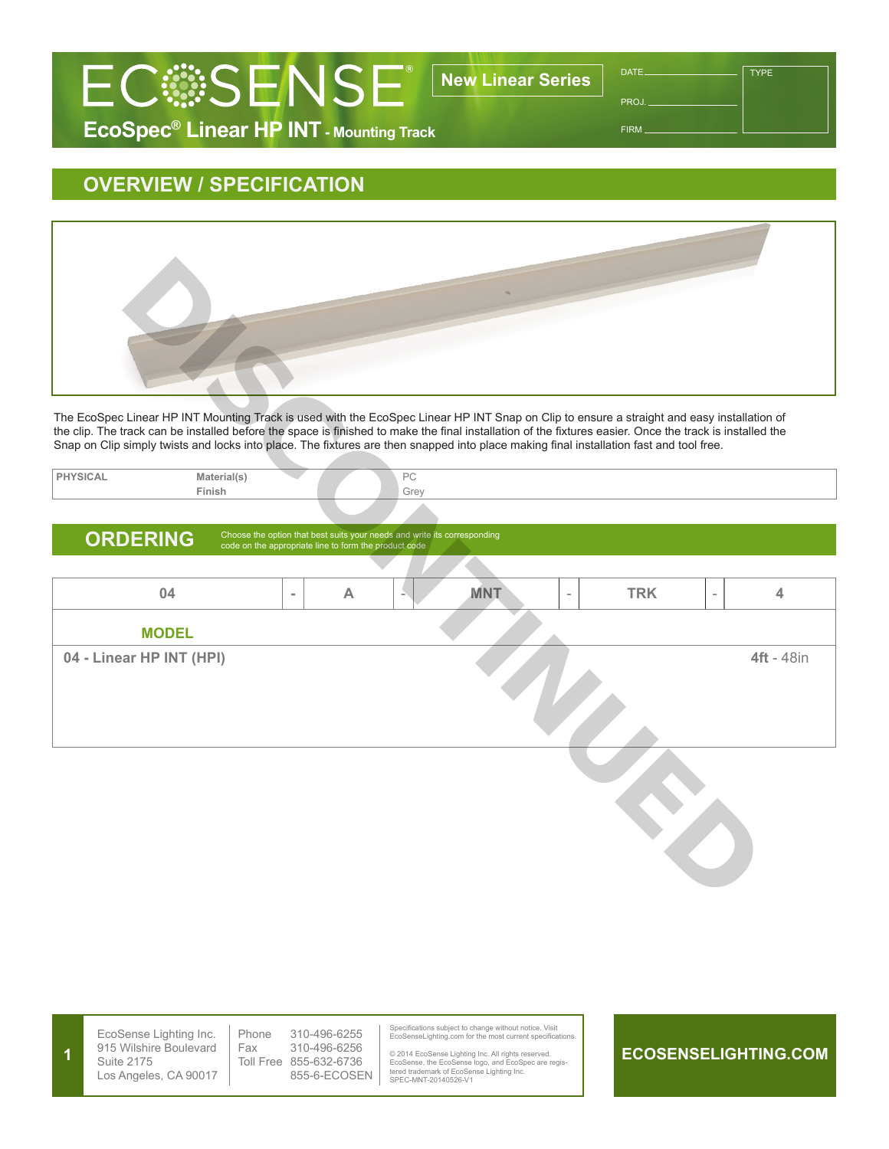

PROJ.

**TYPE** 

FIRM

## **EcoSpec® Linear HP INT - Mounting Track**

## **OVERVIEW / SPECIFICATION**



| "UAL | Material(s' |  | $D^{\wedge}$<br>$\sim$ |
|------|-------------|--|------------------------|
|      | Finish      |  | Grey                   |
|      |             |  |                        |

## ORDERING Choose the option that best suits your needs and write its corresponding code on the appropriate line to form the product code

| The EcoSpec Linear HP INT Mounting Track is used with the EcoSpec Linear HP INT Snap on Clip to ensure a straight and easy installation of<br>the clip. The track can be installed before the space is finished to make the final installation of the fixtures easier. Once the track is installed the<br>Snap on Clip simply twists and locks into place. The fixtures are then snapped into place making final installation fast and tool free. |                       |           |                                                                          |      |            |            |           |                   |
|---------------------------------------------------------------------------------------------------------------------------------------------------------------------------------------------------------------------------------------------------------------------------------------------------------------------------------------------------------------------------------------------------------------------------------------------------|-----------------------|-----------|--------------------------------------------------------------------------|------|------------|------------|-----------|-------------------|
|                                                                                                                                                                                                                                                                                                                                                                                                                                                   |                       |           |                                                                          |      |            |            |           |                   |
| <b>PHYSICAL</b>                                                                                                                                                                                                                                                                                                                                                                                                                                   | Material(s)<br>Finish |           |                                                                          | PC   |            |            |           |                   |
|                                                                                                                                                                                                                                                                                                                                                                                                                                                   |                       |           |                                                                          | Grey |            |            |           |                   |
|                                                                                                                                                                                                                                                                                                                                                                                                                                                   |                       |           | Choose the option that best suits your needs and write its corresponding |      |            |            |           |                   |
| <b>ORDERING</b>                                                                                                                                                                                                                                                                                                                                                                                                                                   |                       |           | code on the appropriate line to form the product code                    |      |            |            |           |                   |
|                                                                                                                                                                                                                                                                                                                                                                                                                                                   |                       |           |                                                                          |      |            |            |           |                   |
| 04                                                                                                                                                                                                                                                                                                                                                                                                                                                |                       | $\bar{a}$ | $\boldsymbol{\mathsf{A}}$                                                |      | <b>MNT</b> | <b>TRK</b> | $\bar{ }$ | 4                 |
| <b>MODEL</b>                                                                                                                                                                                                                                                                                                                                                                                                                                      |                       |           |                                                                          |      |            |            |           |                   |
| 04 - Linear HP INT (HPI)                                                                                                                                                                                                                                                                                                                                                                                                                          |                       |           |                                                                          |      |            |            |           | <b>4ft</b> - 48in |
|                                                                                                                                                                                                                                                                                                                                                                                                                                                   |                       |           |                                                                          |      |            |            |           |                   |

**ECOSENSELIGHTING.COM** EcoSense Lighting Inc. 915 Wilshire Boulevard Suite 2175 Los Angeles, CA 90017 Specifications subject to change without notice. Visit EcoSenseLighting.com for the most current specifications. © 2014 EcoSense Lighting Inc. All rights reserved. EcoSense, the EcoSense logo, and EcoSpec are regis-tered trademark of EcoSense Lighting Inc. SPEC-MNT-20140526-V1 Phone 310-496-6255 Fax 310-496-6256 Toll Free 855-632-6736 855-6-ECOSEN **1**